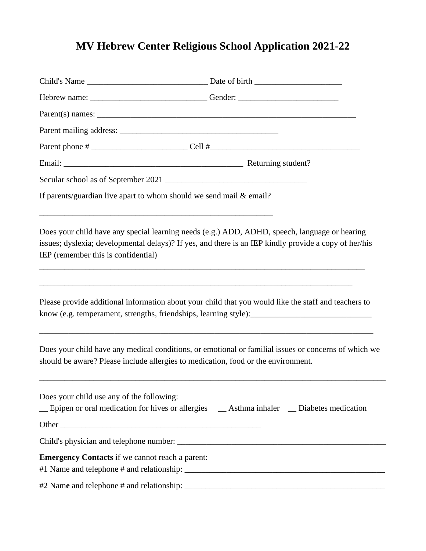## **MV Hebrew Center Religious School Application 2021-22**

|                                                                       | Hebrew name: _________________________________Gender: __________________________                                                                                                                             |
|-----------------------------------------------------------------------|--------------------------------------------------------------------------------------------------------------------------------------------------------------------------------------------------------------|
|                                                                       |                                                                                                                                                                                                              |
|                                                                       |                                                                                                                                                                                                              |
|                                                                       |                                                                                                                                                                                                              |
|                                                                       |                                                                                                                                                                                                              |
|                                                                       |                                                                                                                                                                                                              |
| If parents/guardian live apart to whom should we send mail $&$ email? |                                                                                                                                                                                                              |
| IEP (remember this is confidential)                                   | Does your child have any special learning needs (e.g.) ADD, ADHD, speech, language or hearing<br>issues; dyslexia; developmental delays)? If yes, and there is an IEP kindly provide a copy of her/his       |
|                                                                       | Please provide additional information about your child that you would like the staff and teachers to<br>know (e.g. temperament, strengths, friendships, learning style): ___________________________________ |
|                                                                       | Does your child have any medical conditions, or emotional or familial issues or concerns of which we<br>should be aware? Please include allergies to medication, food or the environment.                    |
| Does your child use any of the following:                             | _ Epipen or oral medication for hives or allergies _ _ Asthma inhaler _ Diabetes medication                                                                                                                  |
|                                                                       |                                                                                                                                                                                                              |
|                                                                       |                                                                                                                                                                                                              |
| <b>Emergency Contacts</b> if we cannot reach a parent:                |                                                                                                                                                                                                              |
|                                                                       |                                                                                                                                                                                                              |
|                                                                       |                                                                                                                                                                                                              |